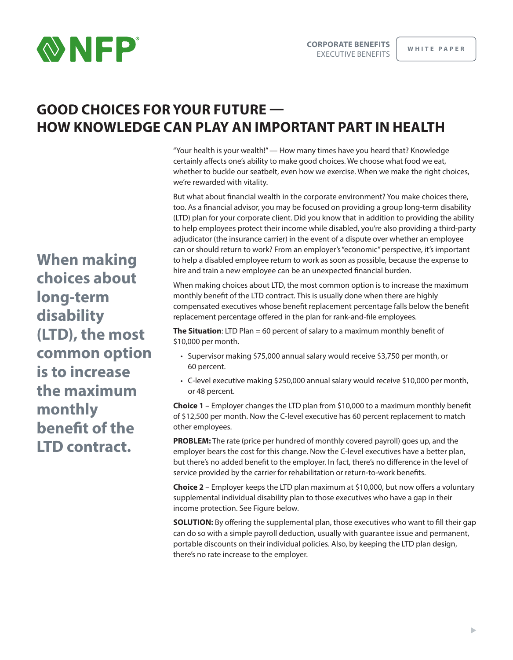

# **GOOD CHOICES FOR YOUR FUTURE — HOW KNOWLEDGE CAN PLAY AN IMPORTANT PART IN HEALTH**

"Your health is your wealth!" — How many times have you heard that? Knowledge certainly affects one's ability to make good choices. We choose what food we eat, whether to buckle our seatbelt, even how we exercise. When we make the right choices, we're rewarded with vitality.

But what about financial wealth in the corporate environment? You make choices there, too. As a financial advisor, you may be focused on providing a group long-term disability (LTD) plan for your corporate client. Did you know that in addition to providing the ability to help employees protect their income while disabled, you're also providing a third-party adjudicator (the insurance carrier) in the event of a dispute over whether an employee can or should return to work? From an employer's "economic" perspective, it's important to help a disabled employee return to work as soon as possible, because the expense to hire and train a new employee can be an unexpected financial burden.

When making choices about LTD, the most common option is to increase the maximum monthly benefit of the LTD contract. This is usually done when there are highly compensated executives whose benefit replacement percentage falls below the benefit replacement percentage offered in the plan for rank-and-file employees.

**The Situation**: LTD Plan = 60 percent of salary to a maximum monthly benefit of \$10,000 per month.

- Supervisor making \$75,000 annual salary would receive \$3,750 per month, or 60 percent.
- C-level executive making \$250,000 annual salary would receive \$10,000 per month, or 48 percent.

**Choice 1** – Employer changes the LTD plan from \$10,000 to a maximum monthly benefit of \$12,500 per month. Now the C-level executive has 60 percent replacement to match other employees.

**PROBLEM:** The rate (price per hundred of monthly covered payroll) goes up, and the employer bears the cost for this change. Now the C-level executives have a better plan, but there's no added benefit to the employer. In fact, there's no difference in the level of service provided by the carrier for rehabilitation or return-to-work benefits.

**Choice 2** – Employer keeps the LTD plan maximum at \$10,000, but now offers a voluntary supplemental individual disability plan to those executives who have a gap in their income protection. See Figure below.

**SOLUTION:** By offering the supplemental plan, those executives who want to fill their gap can do so with a simple payroll deduction, usually with guarantee issue and permanent, portable discounts on their individual policies. Also, by keeping the LTD plan design, there's no rate increase to the employer.

**When making choices about long-term disability (LTD), the most common option is to increase the maximum monthly benefit of the LTD contract.**